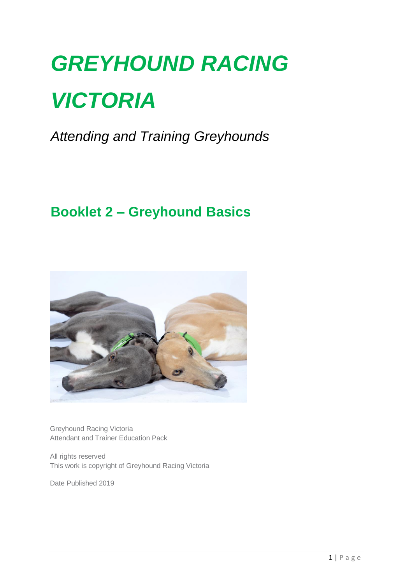# *GREYHOUND RACING VICTORIA*

*Attending and Training Greyhounds*

## **Booklet 2 – Greyhound Basics**



Greyhound Racing Victoria Attendant and Trainer Education Pack

All rights reserved This work is copyright of Greyhound Racing Victoria

Date Published 2019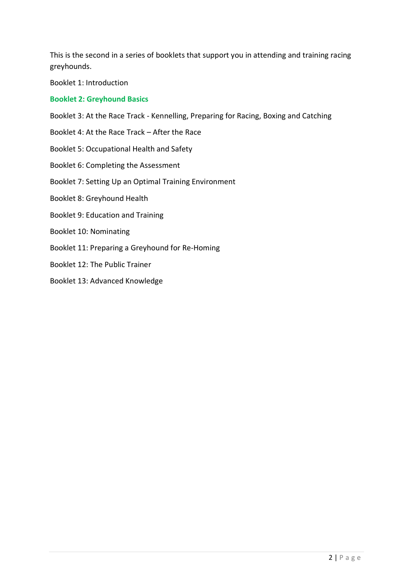This is the second in a series of booklets that support you in attending and training racing greyhounds.

Booklet 1: Introduction

#### **Booklet 2: Greyhound Basics**

Booklet 3: At the Race Track - Kennelling, Preparing for Racing, Boxing and Catching

- Booklet 4: At the Race Track After the Race
- Booklet 5: Occupational Health and Safety
- Booklet 6: Completing the Assessment
- Booklet 7: Setting Up an Optimal Training Environment
- Booklet 8: Greyhound Health
- Booklet 9: Education and Training
- Booklet 10: Nominating
- Booklet 11: Preparing a Greyhound for Re-Homing
- Booklet 12: The Public Trainer
- Booklet 13: Advanced Knowledge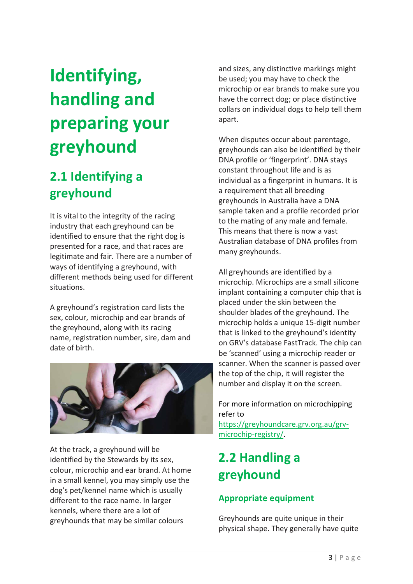## **Identifying, handling and preparing your greyhound**

## **2.1 Identifying a greyhound**

It is vital to the integrity of the racing industry that each greyhound can be identified to ensure that the right dog is presented for a race, and that races are legitimate and fair. There are a number of ways of identifying a greyhound, with different methods being used for different situations.

A greyhound's registration card lists the sex, colour, microchip and ear brands of the greyhound, along with its racing name, registration number, sire, dam and date of birth.



At the track, a greyhound will be identified by the Stewards by its sex, colour, microchip and ear brand. At home in a small kennel, you may simply use the dog's pet/kennel name which is usually different to the race name. In larger kennels, where there are a lot of greyhounds that may be similar colours

and sizes, any distinctive markings might be used; you may have to check the microchip or ear brands to make sure you have the correct dog; or place distinctive collars on individual dogs to help tell them apart.

When disputes occur about parentage, greyhounds can also be identified by their DNA profile or 'fingerprint'. DNA stays constant throughout life and is as individual as a fingerprint in humans. It is a requirement that all breeding greyhounds in Australia have a DNA sample taken and a profile recorded prior to the mating of any male and female. This means that there is now a vast Australian database of DNA profiles from many greyhounds.

All greyhounds are identified by a microchip. Microchips are a small silicone implant containing a computer chip that is placed under the skin between the shoulder blades of the greyhound. The microchip holds a unique 15-digit number that is linked to the greyhound's identity on GRV's database FastTrack. The chip can be 'scanned' using a microchip reader or scanner. When the scanner is passed over the top of the chip, it will register the number and display it on the screen.

#### For more information on microchipping refer to

[https://greyhoundcare.grv.org.au/grv](https://greyhoundcare.grv.org.au/grv-microchip-registry/)[microchip-registry/.](https://greyhoundcare.grv.org.au/grv-microchip-registry/)

## **2.2 Handling a greyhound**

#### **Appropriate equipment**

Greyhounds are quite unique in their physical shape. They generally have quite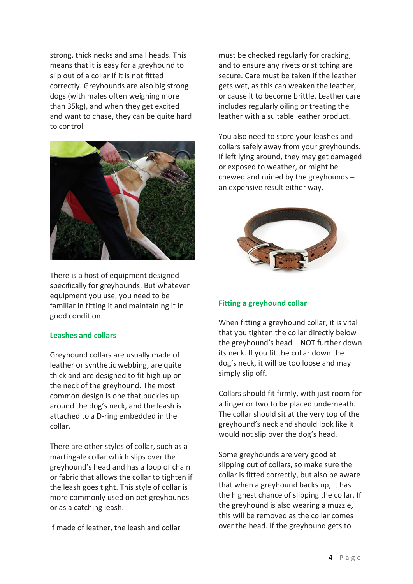strong, thick necks and small heads. This means that it is easy for a greyhound to slip out of a collar if it is not fitted correctly. Greyhounds are also big strong dogs (with males often weighing more than 35kg), and when they get excited and want to chase, they can be quite hard to control.



There is a host of equipment designed specifically for greyhounds. But whatever equipment you use, you need to be familiar in fitting it and maintaining it in good condition.

#### **Leashes and collars**

Greyhound collars are usually made of leather or synthetic webbing, are quite thick and are designed to fit high up on the neck of the greyhound. The most common design is one that buckles up around the dog's neck, and the leash is attached to a D-ring embedded in the collar.

There are other styles of collar, such as a martingale collar which slips over the greyhound's head and has a loop of chain or fabric that allows the collar to tighten if the leash goes tight. This style of collar is more commonly used on pet greyhounds or as a catching leash.

If made of leather, the leash and collar

must be checked regularly for cracking, and to ensure any rivets or stitching are secure. Care must be taken if the leather gets wet, as this can weaken the leather, or cause it to become brittle. Leather care includes regularly oiling or treating the leather with a suitable leather product.

You also need to store your leashes and collars safely away from your greyhounds. If left lying around, they may get damaged or exposed to weather, or might be chewed and ruined by the greyhounds – an expensive result either way.



#### **Fitting a greyhound collar**

When fitting a greyhound collar, it is vital that you tighten the collar directly below the greyhound's head – NOT further down its neck. If you fit the collar down the dog's neck, it will be too loose and may simply slip off.

Collars should fit firmly, with just room for a finger or two to be placed underneath. The collar should sit at the very top of the greyhound's neck and should look like it would not slip over the dog's head.

Some greyhounds are very good at slipping out of collars, so make sure the collar is fitted correctly, but also be aware that when a greyhound backs up, it has the highest chance of slipping the collar. If the greyhound is also wearing a muzzle, this will be removed as the collar comes over the head. If the greyhound gets to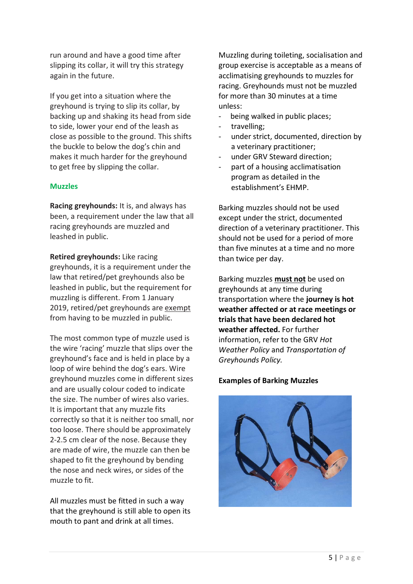run around and have a good time after slipping its collar, it will try this strategy again in the future.

If you get into a situation where the greyhound is trying to slip its collar, by backing up and shaking its head from side to side, lower your end of the leash as close as possible to the ground. This shifts the buckle to below the dog's chin and makes it much harder for the greyhound to get free by slipping the collar.

#### **Muzzles**

**Racing greyhounds:** It is, and always has been, a requirement under the law that all racing greyhounds are muzzled and leashed in public.

**Retired greyhounds:** Like racing greyhounds, it is a requirement under the law that retired/pet greyhounds also be leashed in public, but the requirement for muzzling is different. From 1 January 2019, retired/pet greyhounds are exempt from having to be muzzled in public.

The most common type of muzzle used is the wire 'racing' muzzle that slips over the greyhound's face and is held in place by a loop of wire behind the dog's ears. Wire greyhound muzzles come in different sizes and are usually colour coded to indicate the size. The number of wires also varies. It is important that any muzzle fits correctly so that it is neither too small, nor too loose. There should be approximately 2-2.5 cm clear of the nose. Because they are made of wire, the muzzle can then be shaped to fit the greyhound by bending the nose and neck wires, or sides of the muzzle to fit.

All muzzles must be fitted in such a way that the greyhound is still able to open its mouth to pant and drink at all times.

Muzzling during toileting, socialisation and group exercise is acceptable as a means of acclimatising greyhounds to muzzles for racing. Greyhounds must not be muzzled for more than 30 minutes at a time unless:

- being walked in public places;
- travelling;
- under strict, documented, direction by a veterinary practitioner;
- under GRV Steward direction;
- part of a housing acclimatisation program as detailed in the establishment's EHMP.

Barking muzzles should not be used except under the strict, documented direction of a veterinary practitioner. This should not be used for a period of more than five minutes at a time and no more than twice per day.

Barking muzzles **must not** be used on greyhounds at any time during transportation where the **journey is hot weather affected or at race meetings or trials that have been declared hot weather affected.** For further information, refer to the GRV *Hot Weather Policy* and *Transportation of Greyhounds Policy.*

#### **Examples of Barking Muzzles**

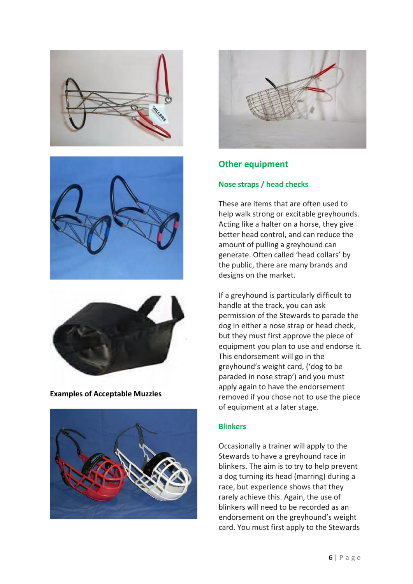





**Examples of Acceptable Muzzles**





#### **Other equipment**

#### **Nose straps / head checks**

These are items that are often used to help walk strong or excitable greyhounds. Acting like a halter on a horse, they give better head control, and can reduce the amount of pulling a greyhound can generate. Often called 'head collars' by the public, there are many brands and designs on the market.

If a greyhound is particularly difficult to handle at the track, you can ask permission of the Stewards to parade the dog in either a nose strap or head check, but they must first approve the piece of equipment you plan to use and endorse it. This endorsement will go in the greyhound's weight card, ('dog to be paraded in nose strap') and you must apply again to have the endorsement removed if you chose not to use the piece of equipment at a later stage.

#### **Blinkers**

Occasionally a trainer will apply to the Stewards to have a greyhound race in blinkers. The aim is to try to help prevent a dog turning its head (marring) during a race, but experience shows that they rarely achieve this. Again, the use of blinkers will need to be recorded as an endorsement on the greyhound's weight card. You must first apply to the Stewards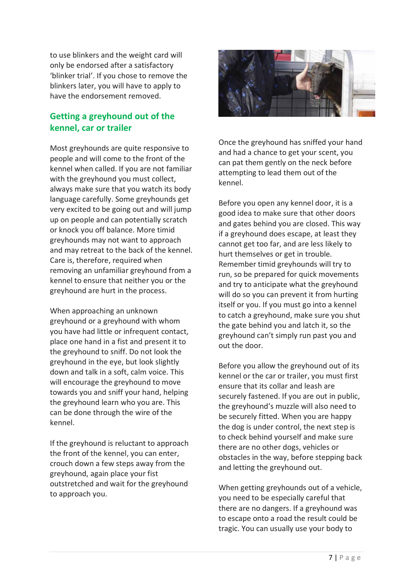to use blinkers and the weight card will only be endorsed after a satisfactory 'blinker trial'. If you chose to remove the blinkers later, you will have to apply to have the endorsement removed.

#### **Getting a greyhound out of the kennel, car or trailer**

Most greyhounds are quite responsive to people and will come to the front of the kennel when called. If you are not familiar with the greyhound you must collect, always make sure that you watch its body language carefully. Some greyhounds get very excited to be going out and will jump up on people and can potentially scratch or knock you off balance. More timid greyhounds may not want to approach and may retreat to the back of the kennel. Care is, therefore, required when removing an unfamiliar greyhound from a kennel to ensure that neither you or the greyhound are hurt in the process.

When approaching an unknown greyhound or a greyhound with whom you have had little or infrequent contact, place one hand in a fist and present it to the greyhound to sniff. Do not look the greyhound in the eye, but look slightly down and talk in a soft, calm voice. This will encourage the greyhound to move towards you and sniff your hand, helping the greyhound learn who you are. This can be done through the wire of the kennel.

If the greyhound is reluctant to approach the front of the kennel, you can enter, crouch down a few steps away from the greyhound, again place your fist outstretched and wait for the greyhound to approach you.



Once the greyhound has sniffed your hand and had a chance to get your scent, you can pat them gently on the neck before attempting to lead them out of the kennel.

Before you open any kennel door, it is a good idea to make sure that other doors and gates behind you are closed. This way if a greyhound does escape, at least they cannot get too far, and are less likely to hurt themselves or get in trouble. Remember timid greyhounds will try to run, so be prepared for quick movements and try to anticipate what the greyhound will do so you can prevent it from hurting itself or you. If you must go into a kennel to catch a greyhound, make sure you shut the gate behind you and latch it, so the greyhound can't simply run past you and out the door.

Before you allow the greyhound out of its kennel or the car or trailer, you must first ensure that its collar and leash are securely fastened. If you are out in public, the greyhound's muzzle will also need to be securely fitted. When you are happy the dog is under control, the next step is to check behind yourself and make sure there are no other dogs, vehicles or obstacles in the way, before stepping back and letting the greyhound out.

When getting greyhounds out of a vehicle, you need to be especially careful that there are no dangers. If a greyhound was to escape onto a road the result could be tragic. You can usually use your body to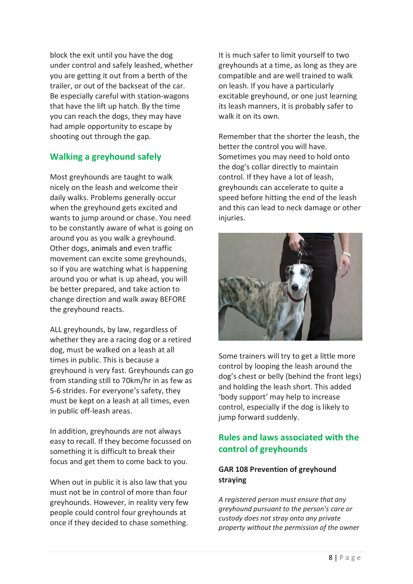block the exit until you have the dog under control and safely leashed, whether you are getting it out from a berth of the trailer, or out of the backseat of the car. Be especially careful with station-wagons that have the lift up hatch. By the time you can reach the dogs, they may have had ample opportunity to escape by shooting out through the gap.

#### **Walking a greyhound safely**

Most greyhounds are taught to walk nicely on the leash and welcome their daily walks. Problems generally occur when the greyhound gets excited and wants to jump around or chase. You need to be constantly aware of what is going on around you as you walk a greyhound. Other dogs, animals and even traffic movement can excite some greyhounds, so if you are watching what is happening around you or what is up ahead, you will be better prepared, and take action to change direction and walk away BEFORE the greyhound reacts.

ALL greyhounds, by law, regardless of whether they are a racing dog or a retired dog, must be walked on a leash at all times in public. This is because a greyhound is very fast. Greyhounds can go from standing still to 70km/hr in as few as 5-6 strides. For everyone's safety, they must be kept on a leash at all times, even in public off-leash areas.

In addition, greyhounds are not always easy to recall. If they become focussed on something it is difficult to break their focus and get them to come back to you.

When out in public it is also law that you must not be in control of more than four greyhounds. However, in reality very few people could control four greyhounds at once if they decided to chase something.

It is much safer to limit yourself to two greyhounds at a time, as long as they are compatible and are well trained to walk on leash. If you have a particularly excitable greyhound, or one just learning its leash manners, it is probably safer to walk it on its own.

Remember that the shorter the leash, the better the control you will have. Sometimes you may need to hold onto the dog's collar directly to maintain control. If they have a lot of leash, greyhounds can accelerate to quite a speed before hitting the end of the leash and this can lead to neck damage or other iniuries.



Some trainers will try to get a little more control by looping the leash around the dog's chest or belly (behind the front legs) and holding the leash short. This added 'body support' may help to increase control, especially if the dog is likely to jump forward suddenly.

#### **Rules and laws associated with the control of greyhounds**

#### **GAR 108 Prevention of greyhound straying**

*A registered person must ensure that any greyhound pursuant to the person's care or custody does not stray onto any private property without the permission of the owner*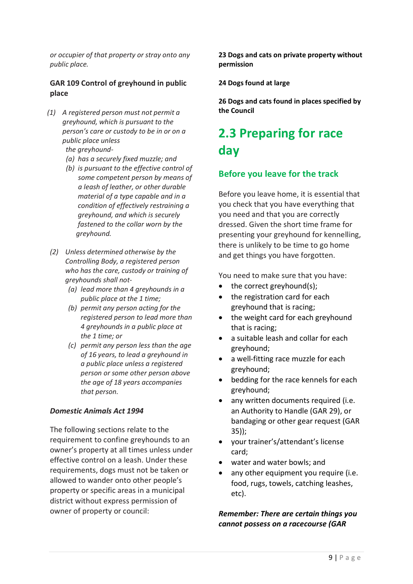*or occupier of that property or stray onto any public place.*

#### **GAR 109 Control of greyhound in public place**

*(1) A registered person must not permit a greyhound, which is pursuant to the person's care or custody to be in or on a public place unless* 

 *the greyhound-*

- *(a) has a securely fixed muzzle; and*
- *(b) is pursuant to the effective control of some competent person by means of a leash of leather, or other durable material of a type capable and in a condition of effectively restraining a greyhound, and which is securely fastened to the collar worn by the greyhound.*
- *(2) Unless determined otherwise by the Controlling Body, a registered person who has the care, custody or training of greyhounds shall not-*
	- *(a) lead more than 4 greyhounds in a public place at the 1 time;*
	- *(b) permit any person acting for the registered person to lead more than 4 greyhounds in a public place at the 1 time; or*
	- *(c) permit any person less than the age of 16 years, to lead a greyhound in a public place unless a registered person or some other person above the age of 18 years accompanies that person.*

#### *Domestic Animals Act 1994*

The following sections relate to the requirement to confine greyhounds to an owner's property at all times unless under effective control on a leash. Under these requirements, dogs must not be taken or allowed to wander onto other people's property or specific areas in a municipal district without express permission of owner of property or council:

**23 Dogs and cats on private property without permission**

**24 Dogs found at large**

**26 Dogs and cats found in places specified by the Council**

### **2.3 Preparing for race day**

#### **Before you leave for the track**

Before you leave home, it is essential that you check that you have everything that you need and that you are correctly dressed. Given the short time frame for presenting your greyhound for kennelling, there is unlikely to be time to go home and get things you have forgotten.

You need to make sure that you have:

- the correct greyhound(s);
- the registration card for each greyhound that is racing;
- the weight card for each greyhound that is racing;
- a suitable leash and collar for each greyhound;
- a well-fitting race muzzle for each greyhound;
- bedding for the race kennels for each greyhound;
- any written documents required (i.e. an Authority to Handle (GAR 29), or bandaging or other gear request (GAR 35));
- your trainer's/attendant's license card;
- water and water bowls; and
- any other equipment you require (i.e. food, rugs, towels, catching leashes, etc).

#### *Remember: There are certain things you cannot possess on a racecourse (GAR*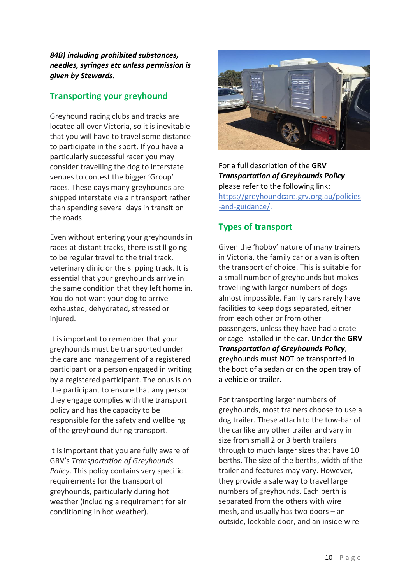*84B) including prohibited substances, needles, syringes etc unless permission is given by Stewards.*

#### **Transporting your greyhound**

Greyhound racing clubs and tracks are located all over Victoria, so it is inevitable that you will have to travel some distance to participate in the sport. If you have a particularly successful racer you may consider travelling the dog to interstate venues to contest the bigger 'Group' races. These days many greyhounds are shipped interstate via air transport rather than spending several days in transit on the roads.

Even without entering your greyhounds in races at distant tracks, there is still going to be regular travel to the trial track, veterinary clinic or the slipping track. It is essential that your greyhounds arrive in the same condition that they left home in. You do not want your dog to arrive exhausted, dehydrated, stressed or injured.

It is important to remember that your greyhounds must be transported under the care and management of a registered participant or a person engaged in writing by a registered participant. The onus is on the participant to ensure that any person they engage complies with the transport policy and has the capacity to be responsible for the safety and wellbeing of the greyhound during transport.

It is important that you are fully aware of GRV's *Transportation of Greyhounds Policy*. This policy contains very specific requirements for the transport of greyhounds, particularly during hot weather (including a requirement for air conditioning in hot weather).



For a full description of the **GRV**  *Transportation of Greyhounds Policy* please refer to the following link: [https://greyhoundcare.grv.org.au/policies](https://greyhoundcare.grv.org.au/policies-and-guidance/) [-and-guidance/.](https://greyhoundcare.grv.org.au/policies-and-guidance/)

#### **Types of transport**

Given the 'hobby' nature of many trainers in Victoria, the family car or a van is often the transport of choice. This is suitable for a small number of greyhounds but makes travelling with larger numbers of dogs almost impossible. Family cars rarely have facilities to keep dogs separated, either from each other or from other passengers, unless they have had a crate or cage installed in the car. Under the **GRV**  *Transportation of Greyhounds Policy*, greyhounds must NOT be transported in the boot of a sedan or on the open tray of a vehicle or trailer.

For transporting larger numbers of greyhounds, most trainers choose to use a dog trailer. These attach to the tow-bar of the car like any other trailer and vary in size from small 2 or 3 berth trailers through to much larger sizes that have 10 berths. The size of the berths, width of the trailer and features may vary. However, they provide a safe way to travel large numbers of greyhounds. Each berth is separated from the others with wire mesh, and usually has two doors – an outside, lockable door, and an inside wire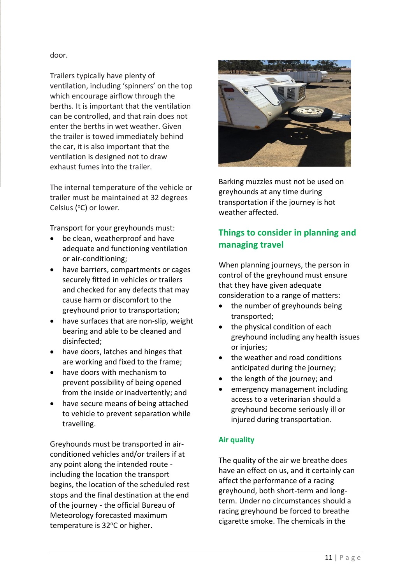#### door.

Trailers typically have plenty of ventilation, including 'spinners' on the top which encourage airflow through the berths. It is important that the ventilation can be controlled, and that rain does not enter the berths in wet weather. Given the trailer is towed immediately behind the car, it is also important that the ventilation is designed not to draw exhaust fumes into the trailer.

The internal temperature of the vehicle or trailer must be maintained at 32 degrees Celsius (°C) or lower.

Transport for your greyhounds must:

- be clean, weatherproof and have adequate and functioning ventilation or air-conditioning;
- have barriers, compartments or cages securely fitted in vehicles or trailers and checked for any defects that may cause harm or discomfort to the greyhound prior to transportation;
- have surfaces that are non-slip, weight bearing and able to be cleaned and disinfected;
- have doors, latches and hinges that are working and fixed to the frame;
- have doors with mechanism to prevent possibility of being opened from the inside or inadvertently; and
- have secure means of being attached to vehicle to prevent separation while travelling.

Greyhounds must be transported in airconditioned vehicles and/or trailers if at any point along the intended route including the location the transport begins, the location of the scheduled rest stops and the final destination at the end of the journey - the official Bureau of Meteorology forecasted maximum temperature is 32°C or higher.



Barking muzzles must not be used on greyhounds at any time during transportation if the journey is hot weather affected.

#### **Things to consider in planning and managing travel**

When planning journeys, the person in control of the greyhound must ensure that they have given adequate consideration to a range of matters:

- the number of greyhounds being transported;
- the physical condition of each greyhound including any health issues or injuries;
- the weather and road conditions anticipated during the journey;
- the length of the journey; and
- emergency management including access to a veterinarian should a greyhound become seriously ill or injured during transportation.

#### **Air quality**

The quality of the air we breathe does have an effect on us, and it certainly can affect the performance of a racing greyhound, both short-term and longterm. Under no circumstances should a racing greyhound be forced to breathe cigarette smoke. The chemicals in the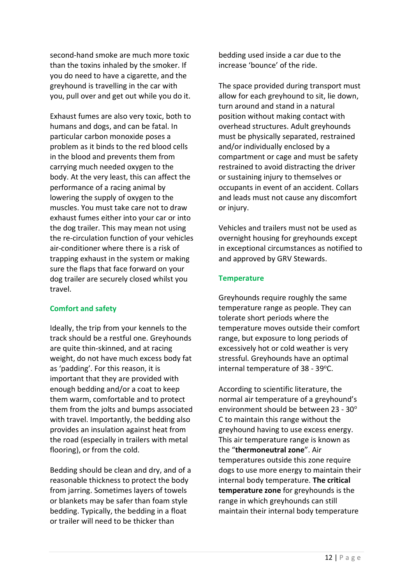second-hand smoke are much more toxic than the toxins inhaled by the smoker. If you do need to have a cigarette, and the greyhound is travelling in the car with you, pull over and get out while you do it.

Exhaust fumes are also very toxic, both to humans and dogs, and can be fatal. In particular carbon monoxide poses a problem as it binds to the red blood cells in the blood and prevents them from carrying much needed oxygen to the body. At the very least, this can affect the performance of a racing animal by lowering the supply of oxygen to the muscles. You must take care not to draw exhaust fumes either into your car or into the dog trailer. This may mean not using the re-circulation function of your vehicles air-conditioner where there is a risk of trapping exhaust in the system or making sure the flaps that face forward on your dog trailer are securely closed whilst you travel.

#### **Comfort and safety**

Ideally, the trip from your kennels to the track should be a restful one. Greyhounds are quite thin-skinned, and at racing weight, do not have much excess body fat as 'padding'. For this reason, it is important that they are provided with enough bedding and/or a coat to keep them warm, comfortable and to protect them from the jolts and bumps associated with travel. Importantly, the bedding also provides an insulation against heat from the road (especially in trailers with metal flooring), or from the cold.

Bedding should be clean and dry, and of a reasonable thickness to protect the body from jarring. Sometimes layers of towels or blankets may be safer than foam style bedding. Typically, the bedding in a float or trailer will need to be thicker than

bedding used inside a car due to the increase 'bounce' of the ride.

The space provided during transport must allow for each greyhound to sit, lie down, turn around and stand in a natural position without making contact with overhead structures. Adult greyhounds must be physically separated, restrained and/or individually enclosed by a compartment or cage and must be safety restrained to avoid distracting the driver or sustaining injury to themselves or occupants in event of an accident. Collars and leads must not cause any discomfort or injury.

Vehicles and trailers must not be used as overnight housing for greyhounds except in exceptional circumstances as notified to and approved by GRV Stewards.

#### **Temperature**

Greyhounds require roughly the same temperature range as people. They can tolerate short periods where the temperature moves outside their comfort range, but exposure to long periods of excessively hot or cold weather is very stressful. Greyhounds have an optimal internal temperature of  $38 - 39^{\circ}$ C.

According to scientific literature, the normal air temperature of a greyhound's environment should be between 23 - 30° C to maintain this range without the greyhound having to use excess energy. This air temperature range is known as the "**thermoneutral zone**". Air temperatures outside this zone require dogs to use more energy to maintain their internal body temperature. **The critical temperature zone** for greyhounds is the range in which greyhounds can still maintain their internal body temperature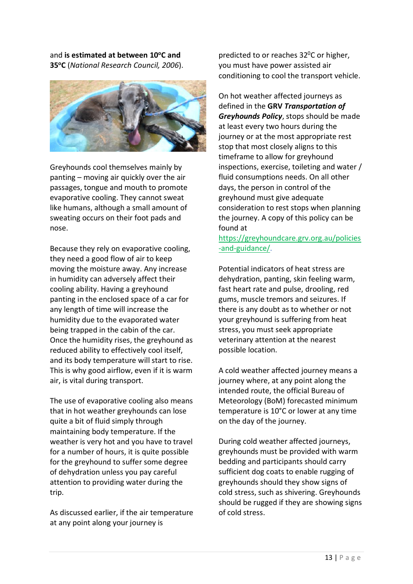and **is estimated at between 10<sup>o</sup>C and 35<sup>o</sup>C** (*National Research Council, 2006*).



Greyhounds cool themselves mainly by panting – moving air quickly over the air passages, tongue and mouth to promote evaporative cooling. They cannot sweat like humans, although a small amount of sweating occurs on their foot pads and nose.

Because they rely on evaporative cooling, they need a good flow of air to keep moving the moisture away. Any increase in humidity can adversely affect their cooling ability. Having a greyhound panting in the enclosed space of a car for any length of time will increase the humidity due to the evaporated water being trapped in the cabin of the car. Once the humidity rises, the greyhound as reduced ability to effectively cool itself, and its body temperature will start to rise. This is why good airflow, even if it is warm air, is vital during transport.

The use of evaporative cooling also means that in hot weather greyhounds can lose quite a bit of fluid simply through maintaining body temperature. If the weather is very hot and you have to travel for a number of hours, it is quite possible for the greyhound to suffer some degree of dehydration unless you pay careful attention to providing water during the trip.

As discussed earlier, if the air temperature at any point along your journey is

predicted to or reaches 32 <sup>0</sup>C or higher, you must have power assisted air conditioning to cool the transport vehicle.

On hot weather affected journeys as defined in the **GRV** *Transportation of Greyhounds Policy*, stops should be made at least every two hours during the journey or at the most appropriate rest stop that most closely aligns to this timeframe to allow for greyhound inspections, exercise, toileting and water / fluid consumptions needs. On all other days, the person in control of the greyhound must give adequate consideration to rest stops when planning the journey. A copy of this policy can be found at

[https://greyhoundcare.grv.org.au/policies](https://greyhoundcare.grv.org.au/policies-and-guidance/) [-and-guidance/.](https://greyhoundcare.grv.org.au/policies-and-guidance/)

Potential indicators of heat stress are dehydration, panting, skin feeling warm, fast heart rate and pulse, drooling, red gums, muscle tremors and seizures. If there is any doubt as to whether or not your greyhound is suffering from heat stress, you must seek appropriate veterinary attention at the nearest possible location.

A cold weather affected journey means a journey where, at any point along the intended route, the official Bureau of Meteorology (BoM) forecasted minimum temperature is 10°C or lower at any time on the day of the journey.

During cold weather affected journeys, greyhounds must be provided with warm bedding and participants should carry sufficient dog coats to enable rugging of greyhounds should they show signs of cold stress, such as shivering. Greyhounds should be rugged if they are showing signs of cold stress.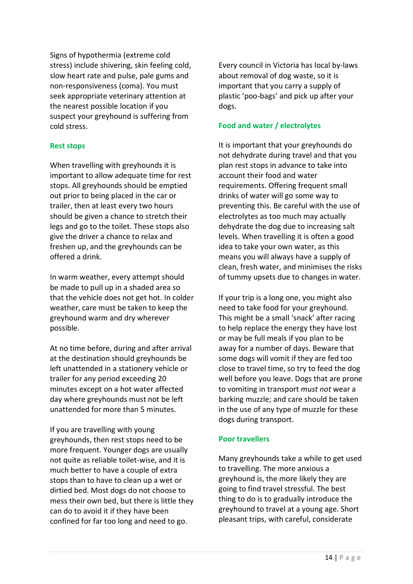Signs of hypothermia (extreme cold stress) include shivering, skin feeling cold, slow heart rate and pulse, pale gums and non-responsiveness (coma). You must seek appropriate veterinary attention at the nearest possible location if you suspect your greyhound is suffering from cold stress.

#### **Rest stops**

When travelling with greyhounds it is important to allow adequate time for rest stops. All greyhounds should be emptied out prior to being placed in the car or trailer, then at least every two hours should be given a chance to stretch their legs and go to the toilet. These stops also give the driver a chance to relax and freshen up, and the greyhounds can be offered a drink.

In warm weather, every attempt should be made to pull up in a shaded area so that the vehicle does not get hot. In colder weather, care must be taken to keep the greyhound warm and dry wherever possible.

At no time before, during and after arrival at the destination should greyhounds be left unattended in a stationery vehicle or trailer for any period exceeding 20 minutes except on a hot water affected day where greyhounds must not be left unattended for more than 5 minutes.

If you are travelling with young greyhounds, then rest stops need to be more frequent. Younger dogs are usually not quite as reliable toilet-wise, and it is much better to have a couple of extra stops than to have to clean up a wet or dirtied bed. Most dogs do not choose to mess their own bed, but there is little they can do to avoid it if they have been confined for far too long and need to go.

Every council in Victoria has local by-laws about removal of dog waste, so it is important that you carry a supply of plastic 'poo-bags' and pick up after your dogs.

#### **Food and water / electrolytes**

It is important that your greyhounds do not dehydrate during travel and that you plan rest stops in advance to take into account their food and water requirements. Offering frequent small drinks of water will go some way to preventing this. Be careful with the use of electrolytes as too much may actually dehydrate the dog due to increasing salt levels. When travelling it is often a good idea to take your own water, as this means you will always have a supply of clean, fresh water, and minimises the risks of tummy upsets due to changes in water.

If your trip is a long one, you might also need to take food for your greyhound. This might be a small 'snack' after racing to help replace the energy they have lost or may be full meals if you plan to be away for a number of days. Beware that some dogs will vomit if they are fed too close to travel time, so try to feed the dog well before you leave. Dogs that are prone to vomiting in transport *must not* wear a barking muzzle; and care should be taken in the use of any type of muzzle for these dogs during transport.

#### **Poor travellers**

Many greyhounds take a while to get used to travelling. The more anxious a greyhound is, the more likely they are going to find travel stressful. The best thing to do is to gradually introduce the greyhound to travel at a young age. Short pleasant trips, with careful, considerate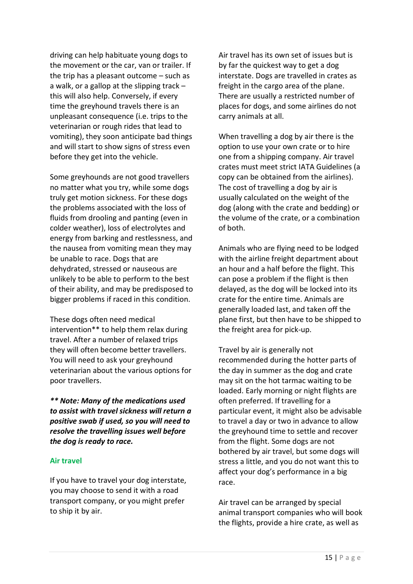driving can help habituate young dogs to the movement or the car, van or trailer. If the trip has a pleasant outcome – such as a walk, or a gallop at the slipping track – this will also help. Conversely, if every time the greyhound travels there is an unpleasant consequence (i.e. trips to the veterinarian or rough rides that lead to vomiting), they soon anticipate bad things and will start to show signs of stress even before they get into the vehicle.

Some greyhounds are not good travellers no matter what you try, while some dogs truly get motion sickness. For these dogs the problems associated with the loss of fluids from drooling and panting (even in colder weather), loss of electrolytes and energy from barking and restlessness, and the nausea from vomiting mean they may be unable to race. Dogs that are dehydrated, stressed or nauseous are unlikely to be able to perform to the best of their ability, and may be predisposed to bigger problems if raced in this condition.

These dogs often need medical intervention\*\* to help them relax during travel. After a number of relaxed trips they will often become better travellers. You will need to ask your greyhound veterinarian about the various options for poor travellers.

*\*\* Note: Many of the medications used to assist with travel sickness will return a positive swab if used, so you will need to resolve the travelling issues well before the dog is ready to race.*

#### **Air travel**

If you have to travel your dog interstate, you may choose to send it with a road transport company, or you might prefer to ship it by air.

Air travel has its own set of issues but is by far the quickest way to get a dog interstate. Dogs are travelled in crates as freight in the cargo area of the plane. There are usually a restricted number of places for dogs, and some airlines do not carry animals at all.

When travelling a dog by air there is the option to use your own crate or to hire one from a shipping company. Air travel crates must meet strict IATA Guidelines (a copy can be obtained from the airlines). The cost of travelling a dog by air is usually calculated on the weight of the dog (along with the crate and bedding) or the volume of the crate, or a combination of both.

Animals who are flying need to be lodged with the airline freight department about an hour and a half before the flight. This can pose a problem if the flight is then delayed, as the dog will be locked into its crate for the entire time. Animals are generally loaded last, and taken off the plane first, but then have to be shipped to the freight area for pick-up.

Travel by air is generally not recommended during the hotter parts of the day in summer as the dog and crate may sit on the hot tarmac waiting to be loaded. Early morning or night flights are often preferred. If travelling for a particular event, it might also be advisable to travel a day or two in advance to allow the greyhound time to settle and recover from the flight. Some dogs are not bothered by air travel, but some dogs will stress a little, and you do not want this to affect your dog's performance in a big race.

Air travel can be arranged by special animal transport companies who will book the flights, provide a hire crate, as well as